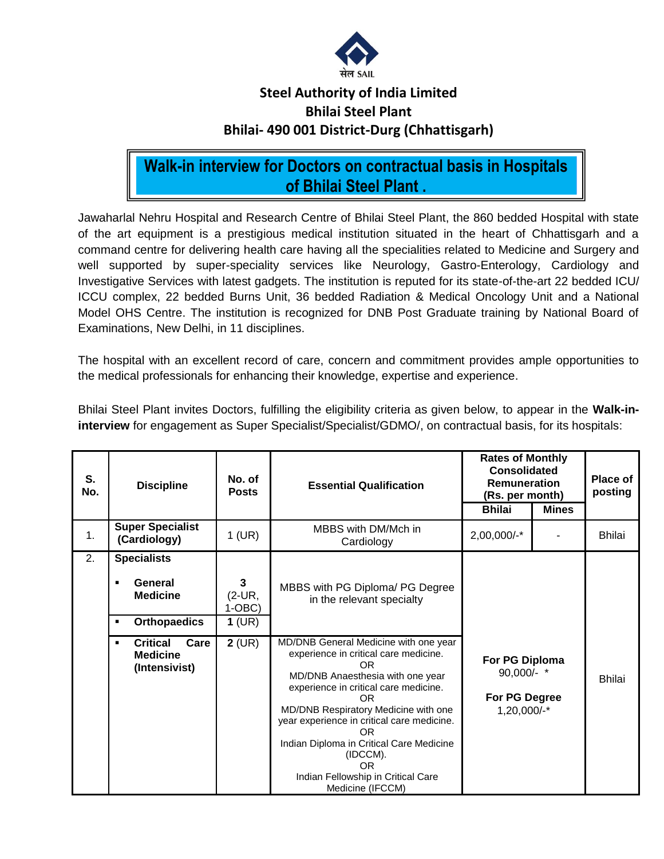

### **Steel Authority of India Limited Bhilai Steel Plant Bhilai- 490 001 District-Durg (Chhattisgarh)**

## **Walk-in interview for Doctors on contractual basis in Hospitals of Bhilai Steel Plant .**

Jawaharlal Nehru Hospital and Research Centre of Bhilai Steel Plant, the 860 bedded Hospital with state of the art equipment is a prestigious medical institution situated in the heart of Chhattisgarh and a command centre for delivering health care having all the specialities related to Medicine and Surgery and well supported by super-speciality services like Neurology, Gastro-Enterology, Cardiology and Investigative Services with latest gadgets. The institution is reputed for its state-of-the-art 22 bedded ICU/ ICCU complex, 22 bedded Burns Unit, 36 bedded Radiation & Medical Oncology Unit and a National Model OHS Centre. The institution is recognized for DNB Post Graduate training by National Board of Examinations, New Delhi, in 11 disciplines.

The hospital with an excellent record of care, concern and commitment provides ample opportunities to the medical professionals for enhancing their knowledge, expertise and experience.

Bhilai Steel Plant invites Doctors, fulfilling the eligibility criteria as given below, to appear in the **Walk-ininterview** for engagement as Super Specialist/Specialist/GDMO/, on contractual basis, for its hospitals:

| S.<br>No. | <b>Discipline</b>                                                                 | No. of<br><b>Posts</b>             | <b>Essential Qualification</b>                                                                                                                                                                                                                                                                                                                                                                      | <b>Rates of Monthly</b><br>Consolidated<br>Remuneration<br>(Rs. per month)<br><b>Bhilai</b><br><b>Mines</b> |  | Place of<br>posting |
|-----------|-----------------------------------------------------------------------------------|------------------------------------|-----------------------------------------------------------------------------------------------------------------------------------------------------------------------------------------------------------------------------------------------------------------------------------------------------------------------------------------------------------------------------------------------------|-------------------------------------------------------------------------------------------------------------|--|---------------------|
| 1.        | <b>Super Specialist</b><br>(Cardiology)                                           | $1$ (UR)                           | MBBS with DM/Mch in<br>Cardiology                                                                                                                                                                                                                                                                                                                                                                   | 2,00,000/-*                                                                                                 |  | <b>Bhilai</b>       |
| 2.        | <b>Specialists</b><br>General<br>٠<br><b>Medicine</b><br><b>Orthopaedics</b><br>٠ | 3<br>(2-UR,<br>$1-OBC$<br>$1$ (UR) | MBBS with PG Diploma/ PG Degree<br>in the relevant specialty                                                                                                                                                                                                                                                                                                                                        |                                                                                                             |  |                     |
|           | <b>Critical</b><br>Care<br>٠<br><b>Medicine</b><br>(Intensivist)                  | $2$ (UR)                           | MD/DNB General Medicine with one year<br>experience in critical care medicine.<br>OR<br>MD/DNB Anaesthesia with one year<br>experience in critical care medicine.<br><b>OR</b><br>MD/DNB Respiratory Medicine with one<br>year experience in critical care medicine.<br>OR.<br>Indian Diploma in Critical Care Medicine<br>(IDCCM).<br>OR<br>Indian Fellowship in Critical Care<br>Medicine (IFCCM) | For PG Diploma<br>90,000/- *<br>For PG Degree<br>1,20,000/-*                                                |  | Bhilai              |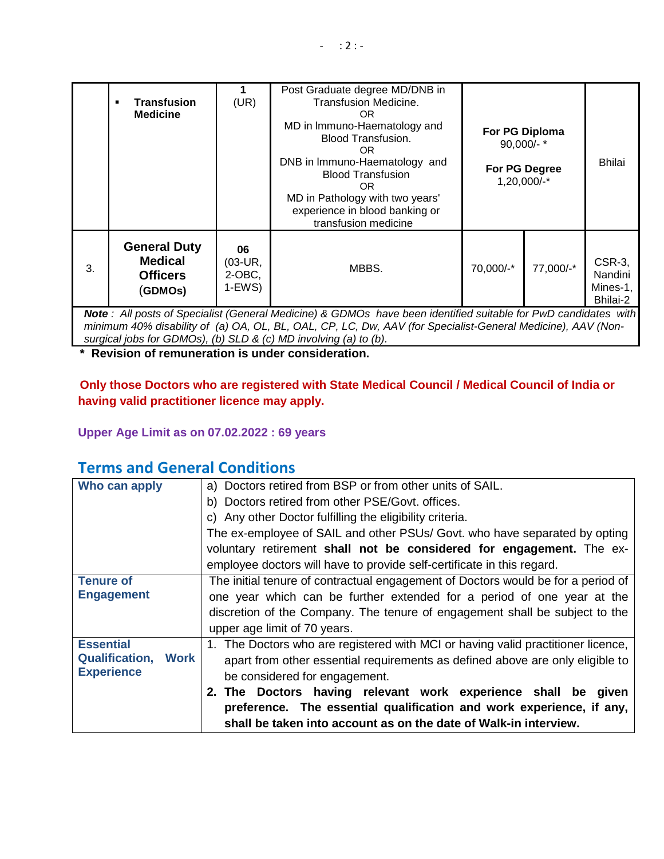|                                                                                                                                                                                                                                         | <b>Transfusion</b><br><b>Medicine</b>                               | (UR)                                   | Post Graduate degree MD/DNB in<br><b>Transfusion Medicine.</b><br>OR.<br>MD in Immuno-Haematology and<br><b>Blood Transfusion.</b><br>OR.<br>DNB in Immuno-Haematology and<br><b>Blood Transfusion</b><br>OR.<br>MD in Pathology with two years'<br>experience in blood banking or<br>transfusion medicine | For PG Diploma<br>$90,000/-$ *<br>For PG Degree<br>1,20,000/-* |           | <b>Bhilai</b>                             |  |
|-----------------------------------------------------------------------------------------------------------------------------------------------------------------------------------------------------------------------------------------|---------------------------------------------------------------------|----------------------------------------|------------------------------------------------------------------------------------------------------------------------------------------------------------------------------------------------------------------------------------------------------------------------------------------------------------|----------------------------------------------------------------|-----------|-------------------------------------------|--|
| 3.                                                                                                                                                                                                                                      | <b>General Duty</b><br><b>Medical</b><br><b>Officers</b><br>(GDMOs) | 06<br>$(03-UR,$<br>$2-OBC$ ,<br>1-EWS) | MBBS.                                                                                                                                                                                                                                                                                                      | 70,000/-*                                                      | 77,000/-* | CSR-3,<br>Nandini<br>Mines-1,<br>Bhilai-2 |  |
| Note: All posts of Specialist (General Medicine) & GDMOs have been identified suitable for PwD candidates with<br>$min_{\alpha}$ And $\lambda$ disability of (a) OA OL RL OAL CP LC Dw. AAV (for Specialist General Medicine) AAV (Non- |                                                                     |                                        |                                                                                                                                                                                                                                                                                                            |                                                                |           |                                           |  |

*minimum 40% disability of (a) OA, OL, BL, OAL, CP, LC, Dw, AAV (for Specialist-General Medicine), AAV (Nonsurgical jobs for GDMOs), (b) SLD & (c) MD involving (a) to (b).*

**\* Revision of remuneration is under consideration.**

**Only those Doctors who are registered with State Medical Council / Medical Council of India or having valid practitioner licence may apply.**

**Upper Age Limit as on 07.02.2022 : 69 years**

### **Terms and General Conditions**

| Who can apply                                                 | a) Doctors retired from BSP or from other units of SAIL.                         |  |  |  |  |  |
|---------------------------------------------------------------|----------------------------------------------------------------------------------|--|--|--|--|--|
|                                                               | b) Doctors retired from other PSE/Govt. offices.                                 |  |  |  |  |  |
|                                                               | c) Any other Doctor fulfilling the eligibility criteria.                         |  |  |  |  |  |
|                                                               | The ex-employee of SAIL and other PSUs/ Govt. who have separated by opting       |  |  |  |  |  |
|                                                               | voluntary retirement shall not be considered for engagement. The ex-             |  |  |  |  |  |
|                                                               | employee doctors will have to provide self-certificate in this regard.           |  |  |  |  |  |
| <b>Tenure of</b>                                              | The initial tenure of contractual engagement of Doctors would be for a period of |  |  |  |  |  |
| <b>Engagement</b>                                             | one year which can be further extended for a period of one year at the           |  |  |  |  |  |
|                                                               | discretion of the Company. The tenure of engagement shall be subject to the      |  |  |  |  |  |
|                                                               | upper age limit of 70 years.                                                     |  |  |  |  |  |
| <b>Essential</b>                                              | 1. The Doctors who are registered with MCI or having valid practitioner licence, |  |  |  |  |  |
| <b>Qualification, Work</b>                                    | apart from other essential requirements as defined above are only eligible to    |  |  |  |  |  |
| <b>Experience</b>                                             | be considered for engagement.                                                    |  |  |  |  |  |
| 2. The Doctors having relevant work experience shall be given |                                                                                  |  |  |  |  |  |
|                                                               | preference. The essential qualification and work experience, if any,             |  |  |  |  |  |
|                                                               | shall be taken into account as on the date of Walk-in interview.                 |  |  |  |  |  |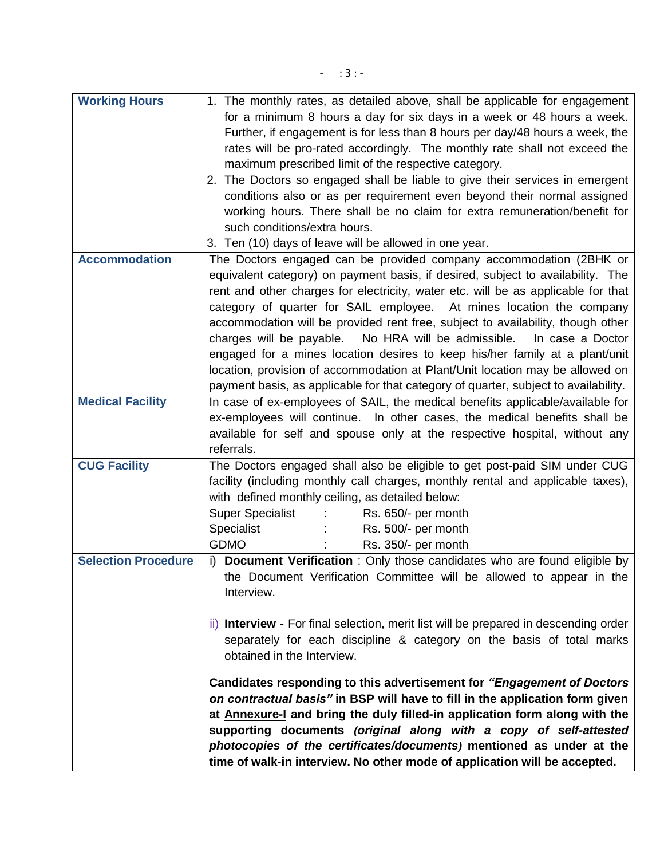| <b>Working Hours</b>       | 1. The monthly rates, as detailed above, shall be applicable for engagement          |
|----------------------------|--------------------------------------------------------------------------------------|
|                            | for a minimum 8 hours a day for six days in a week or 48 hours a week.               |
|                            | Further, if engagement is for less than 8 hours per day/48 hours a week, the         |
|                            | rates will be pro-rated accordingly. The monthly rate shall not exceed the           |
|                            | maximum prescribed limit of the respective category.                                 |
|                            | 2. The Doctors so engaged shall be liable to give their services in emergent         |
|                            |                                                                                      |
|                            | conditions also or as per requirement even beyond their normal assigned              |
|                            | working hours. There shall be no claim for extra remuneration/benefit for            |
|                            | such conditions/extra hours.                                                         |
|                            | 3. Ten (10) days of leave will be allowed in one year.                               |
| <b>Accommodation</b>       | The Doctors engaged can be provided company accommodation (2BHK or                   |
|                            | equivalent category) on payment basis, if desired, subject to availability. The      |
|                            | rent and other charges for electricity, water etc. will be as applicable for that    |
|                            | category of quarter for SAIL employee. At mines location the company                 |
|                            | accommodation will be provided rent free, subject to availability, though other      |
|                            | charges will be payable.<br>No HRA will be admissible.<br>In case a Doctor           |
|                            | engaged for a mines location desires to keep his/her family at a plant/unit          |
|                            | location, provision of accommodation at Plant/Unit location may be allowed on        |
|                            | payment basis, as applicable for that category of quarter, subject to availability.  |
| <b>Medical Facility</b>    | In case of ex-employees of SAIL, the medical benefits applicable/available for       |
|                            |                                                                                      |
|                            | ex-employees will continue. In other cases, the medical benefits shall be            |
|                            | available for self and spouse only at the respective hospital, without any           |
|                            | referrals.                                                                           |
| <b>CUG Facility</b>        | The Doctors engaged shall also be eligible to get post-paid SIM under CUG            |
|                            | facility (including monthly call charges, monthly rental and applicable taxes),      |
|                            | with defined monthly ceiling, as detailed below:                                     |
|                            | <b>Super Specialist</b><br>Rs. 650/- per month                                       |
|                            | Specialist<br>Rs. 500/- per month                                                    |
|                            | <b>GDMO</b><br>Rs. 350/- per month                                                   |
| <b>Selection Procedure</b> | i) Document Verification : Only those candidates who are found eligible by           |
|                            | the Document Verification Committee will be allowed to appear in the                 |
|                            | Interview.                                                                           |
|                            |                                                                                      |
|                            | ii) Interview - For final selection, merit list will be prepared in descending order |
|                            | separately for each discipline & category on the basis of total marks                |
|                            | obtained in the Interview.                                                           |
|                            |                                                                                      |
|                            | Candidates responding to this advertisement for "Engagement of Doctors"              |
|                            | on contractual basis" in BSP will have to fill in the application form given         |
|                            | at Annexure-I and bring the duly filled-in application form along with the           |
|                            | supporting documents (original along with a copy of self-attested                    |
|                            | photocopies of the certificates/documents) mentioned as under at the                 |
|                            | time of walk-in interview. No other mode of application will be accepted.            |
|                            |                                                                                      |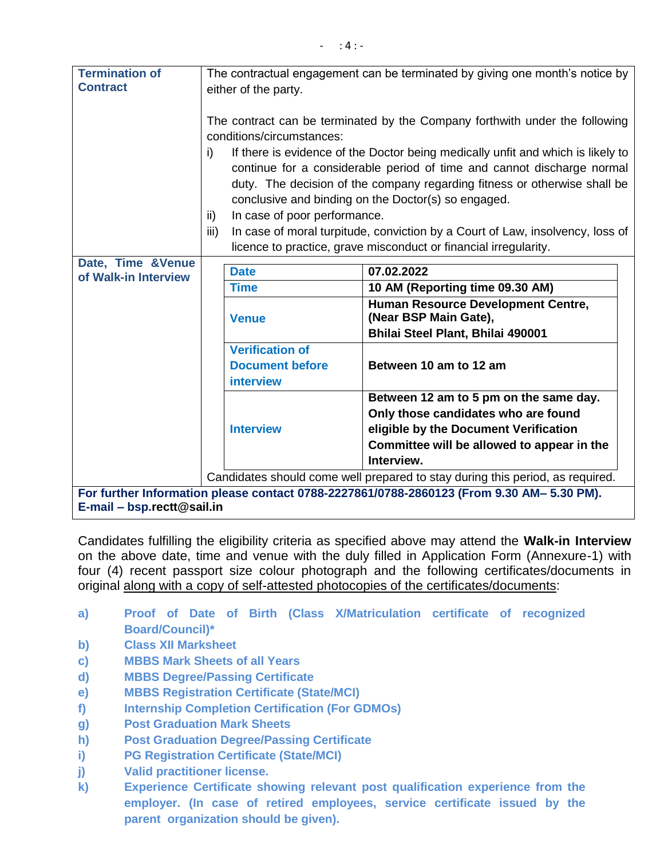| <b>Termination of</b>                                                                     | The contractual engagement can be terminated by giving one month's notice by  |                                                                  |                                                                                 |  |  |
|-------------------------------------------------------------------------------------------|-------------------------------------------------------------------------------|------------------------------------------------------------------|---------------------------------------------------------------------------------|--|--|
| <b>Contract</b>                                                                           | either of the party.                                                          |                                                                  |                                                                                 |  |  |
|                                                                                           |                                                                               |                                                                  |                                                                                 |  |  |
|                                                                                           |                                                                               |                                                                  | The contract can be terminated by the Company forthwith under the following     |  |  |
|                                                                                           |                                                                               | conditions/circumstances:                                        |                                                                                 |  |  |
|                                                                                           | i)                                                                            |                                                                  | If there is evidence of the Doctor being medically unfit and which is likely to |  |  |
|                                                                                           |                                                                               |                                                                  | continue for a considerable period of time and cannot discharge normal          |  |  |
|                                                                                           |                                                                               |                                                                  | duty. The decision of the company regarding fitness or otherwise shall be       |  |  |
|                                                                                           |                                                                               |                                                                  | conclusive and binding on the Doctor(s) so engaged.                             |  |  |
|                                                                                           | ii)                                                                           | In case of poor performance.                                     |                                                                                 |  |  |
|                                                                                           | iii)                                                                          |                                                                  | In case of moral turpitude, conviction by a Court of Law, insolvency, loss of   |  |  |
|                                                                                           |                                                                               | licence to practice, grave misconduct or financial irregularity. |                                                                                 |  |  |
| Date, Time &Venue                                                                         |                                                                               |                                                                  |                                                                                 |  |  |
| of Walk-in Interview                                                                      |                                                                               | <b>Date</b>                                                      | 07.02.2022                                                                      |  |  |
|                                                                                           |                                                                               | <b>Time</b>                                                      | 10 AM (Reporting time 09.30 AM)                                                 |  |  |
|                                                                                           |                                                                               | <b>Venue</b>                                                     | Human Resource Development Centre,<br>(Near BSP Main Gate),                     |  |  |
|                                                                                           |                                                                               |                                                                  | Bhilai Steel Plant, Bhilai 490001                                               |  |  |
|                                                                                           |                                                                               | <b>Verification of</b>                                           |                                                                                 |  |  |
|                                                                                           |                                                                               | <b>Document before</b>                                           | Between 10 am to 12 am                                                          |  |  |
|                                                                                           |                                                                               | <b>interview</b>                                                 |                                                                                 |  |  |
|                                                                                           |                                                                               |                                                                  |                                                                                 |  |  |
|                                                                                           |                                                                               |                                                                  | Between 12 am to 5 pm on the same day.                                          |  |  |
|                                                                                           |                                                                               | <b>Interview</b>                                                 | Only those candidates who are found<br>eligible by the Document Verification    |  |  |
|                                                                                           |                                                                               |                                                                  |                                                                                 |  |  |
|                                                                                           |                                                                               |                                                                  | Committee will be allowed to appear in the<br>Interview.                        |  |  |
|                                                                                           |                                                                               |                                                                  |                                                                                 |  |  |
|                                                                                           | Candidates should come well prepared to stay during this period, as required. |                                                                  |                                                                                 |  |  |
| For further Information please contact 0788-2227861/0788-2860123 (From 9.30 AM- 5.30 PM). |                                                                               |                                                                  |                                                                                 |  |  |
| E-mail – bsp.rectt@sail.in                                                                |                                                                               |                                                                  |                                                                                 |  |  |

Candidates fulfilling the eligibility criteria as specified above may attend the **Walk-in Interview** on the above date, time and venue with the duly filled in Application Form (Annexure-1) with four (4) recent passport size colour photograph and the following certificates/documents in original along with a copy of self-attested photocopies of the certificates/documents:

- **a) Proof of Date of Birth (Class X/Matriculation certificate of recognized Board/Council)\***
- **b) Class XII Marksheet**
- **c) MBBS Mark Sheets of all Years**
- **d) MBBS Degree/Passing Certificate**
- **e) MBBS Registration Certificate (State/MCI)**
- **f) Internship Completion Certification (For GDMOs)**
- **g) Post Graduation Mark Sheets**
- **h) Post Graduation Degree/Passing Certificate**
- **i) PG Registration Certificate (State/MCI)**
- **j) Valid practitioner license.**
- **k) Experience Certificate showing relevant post qualification experience from the employer. (In case of retired employees, service certificate issued by the parent organization should be given).**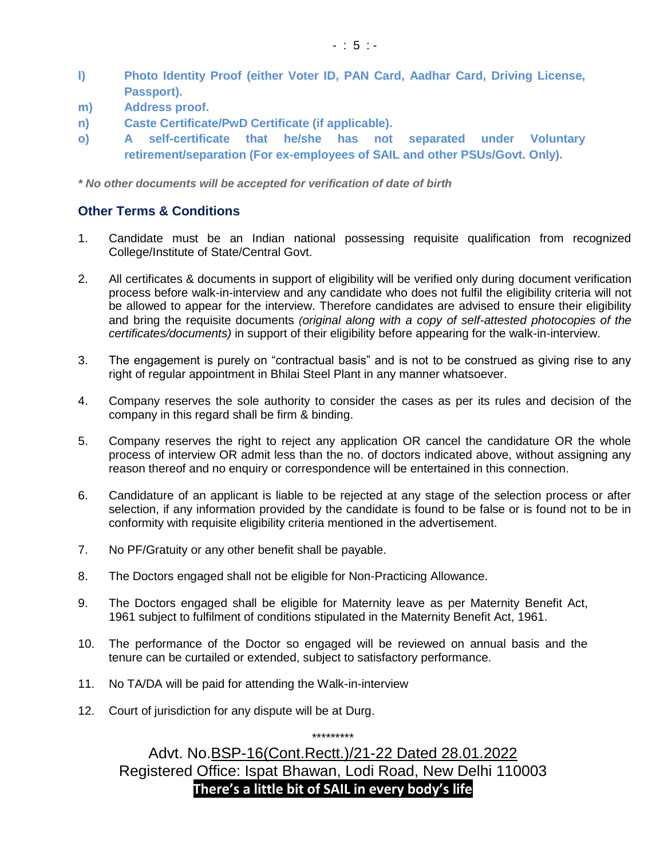- **l) Photo Identity Proof (either Voter ID, PAN Card, Aadhar Card, Driving License, Passport).**
- **m) Address proof.**
- **n) Caste Certificate/PwD Certificate (if applicable).**
- **o) A self-certificate that he/she has not separated under Voluntary retirement/separation (For ex-employees of SAIL and other PSUs/Govt. Only).**

*\* No other documents will be accepted for verification of date of birth*

#### **Other Terms & Conditions**

- 1. Candidate must be an Indian national possessing requisite qualification from recognized College/Institute of State/Central Govt.
- 2. All certificates & documents in support of eligibility will be verified only during document verification process before walk-in-interview and any candidate who does not fulfil the eligibility criteria will not be allowed to appear for the interview. Therefore candidates are advised to ensure their eligibility and bring the requisite documents *(original along with a copy of self-attested photocopies of the certificates/documents)* in support of their eligibility before appearing for the walk-in-interview.
- 3. The engagement is purely on "contractual basis" and is not to be construed as giving rise to any right of regular appointment in Bhilai Steel Plant in any manner whatsoever.
- 4. Company reserves the sole authority to consider the cases as per its rules and decision of the company in this regard shall be firm & binding.
- 5. Company reserves the right to reject any application OR cancel the candidature OR the whole process of interview OR admit less than the no. of doctors indicated above, without assigning any reason thereof and no enquiry or correspondence will be entertained in this connection.
- 6. Candidature of an applicant is liable to be rejected at any stage of the selection process or after selection, if any information provided by the candidate is found to be false or is found not to be in conformity with requisite eligibility criteria mentioned in the advertisement.
- 7. No PF/Gratuity or any other benefit shall be payable.
- 8. The Doctors engaged shall not be eligible for Non-Practicing Allowance.
- 9. The Doctors engaged shall be eligible for Maternity leave as per Maternity Benefit Act, 1961 subject to fulfilment of conditions stipulated in the Maternity Benefit Act, 1961.
- 10. The performance of the Doctor so engaged will be reviewed on annual basis and the tenure can be curtailed or extended, subject to satisfactory performance.
- 11. No TA/DA will be paid for attending the Walk-in-interview
- 12. Court of jurisdiction for any dispute will be at Durg.

Advt. No.BSP-16(Cont.Rectt.)/21-22 Dated 28.01.2022 Registered Office: Ispat Bhawan, Lodi Road, New Delhi 110003 **There's a little bit of SAIL in every body's life**

\*\*\*\*\*\*\*\*\*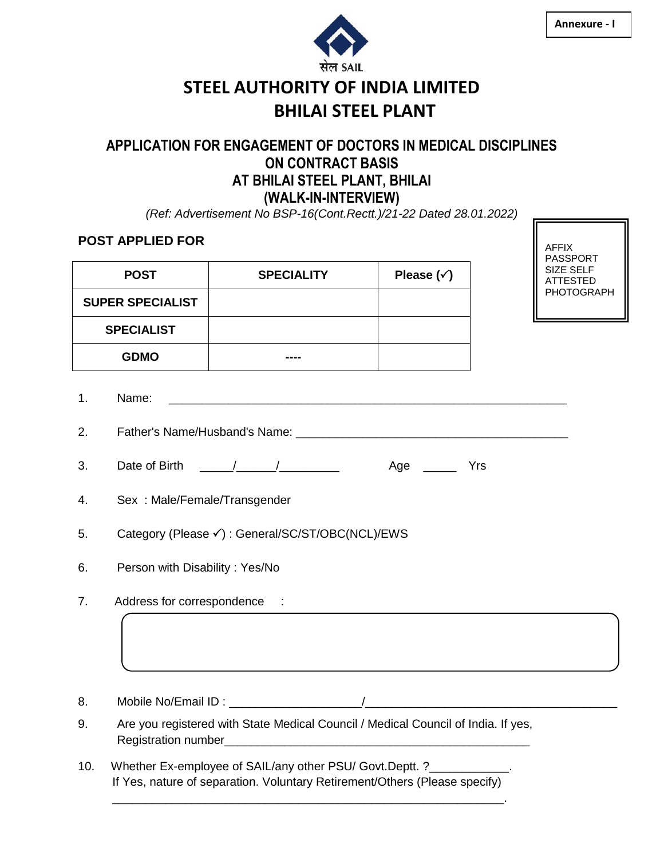

AFFIX

# **STEEL AUTHORITY OF INDIA LIMITED BHILAI STEEL PLANT**

### **APPLICATION FOR ENGAGEMENT OF DOCTORS IN MEDICAL DISCIPLINES ON CONTRACT BASIS AT BHILAI STEEL PLANT, BHILAI (WALK-IN-INTERVIEW)**

*(Ref: Advertisement No BSP-16(Cont.Rectt.)/21-22 Dated 28.01.2022)*

### **POST APPLIED FOR**

|                         |                                                                                                                                                                                                                                                                                                                                                |                                                                                                                                                     |                      |  | <b>PASSPORT</b>              |  |  |  |  |
|-------------------------|------------------------------------------------------------------------------------------------------------------------------------------------------------------------------------------------------------------------------------------------------------------------------------------------------------------------------------------------|-----------------------------------------------------------------------------------------------------------------------------------------------------|----------------------|--|------------------------------|--|--|--|--|
| <b>POST</b>             |                                                                                                                                                                                                                                                                                                                                                | <b>SPECIALITY</b>                                                                                                                                   | Please $(\check{v})$ |  | SIZE SELF<br><b>ATTESTED</b> |  |  |  |  |
| <b>SUPER SPECIALIST</b> |                                                                                                                                                                                                                                                                                                                                                |                                                                                                                                                     |                      |  | PHOTOGRAPH                   |  |  |  |  |
|                         | <b>SPECIALIST</b>                                                                                                                                                                                                                                                                                                                              |                                                                                                                                                     |                      |  |                              |  |  |  |  |
|                         | <b>GDMO</b>                                                                                                                                                                                                                                                                                                                                    |                                                                                                                                                     |                      |  |                              |  |  |  |  |
| 1.                      | Name:                                                                                                                                                                                                                                                                                                                                          |                                                                                                                                                     |                      |  |                              |  |  |  |  |
| 2.                      |                                                                                                                                                                                                                                                                                                                                                |                                                                                                                                                     |                      |  |                              |  |  |  |  |
| 3.                      | Date of Birth $\frac{1}{2}$ $\frac{1}{2}$ $\frac{1}{2}$ $\frac{1}{2}$ $\frac{1}{2}$ $\frac{1}{2}$ $\frac{1}{2}$ $\frac{1}{2}$ $\frac{1}{2}$ $\frac{1}{2}$ $\frac{1}{2}$ $\frac{1}{2}$ $\frac{1}{2}$ $\frac{1}{2}$ $\frac{1}{2}$ $\frac{1}{2}$ $\frac{1}{2}$ $\frac{1}{2}$ $\frac{1}{2}$ $\frac{1}{2}$ $\frac{1}{2$<br>Age $\_\_\_\_\_\$<br>Yrs |                                                                                                                                                     |                      |  |                              |  |  |  |  |
| 4.                      | Sex: Male/Female/Transgender                                                                                                                                                                                                                                                                                                                   |                                                                                                                                                     |                      |  |                              |  |  |  |  |
| 5.                      | Category (Please √) : General/SC/ST/OBC(NCL)/EWS                                                                                                                                                                                                                                                                                               |                                                                                                                                                     |                      |  |                              |  |  |  |  |
| 6.                      | Person with Disability: Yes/No                                                                                                                                                                                                                                                                                                                 |                                                                                                                                                     |                      |  |                              |  |  |  |  |
| 7.                      | Address for correspondence :                                                                                                                                                                                                                                                                                                                   |                                                                                                                                                     |                      |  |                              |  |  |  |  |
| 8.                      |                                                                                                                                                                                                                                                                                                                                                |                                                                                                                                                     |                      |  |                              |  |  |  |  |
| 9.                      |                                                                                                                                                                                                                                                                                                                                                | Are you registered with State Medical Council / Medical Council of India. If yes,                                                                   |                      |  |                              |  |  |  |  |
| 10.                     |                                                                                                                                                                                                                                                                                                                                                | Whether Ex-employee of SAIL/any other PSU/ Govt.Deptt. ?____________.<br>If Yes, nature of separation. Voluntary Retirement/Others (Please specify) |                      |  |                              |  |  |  |  |

\_\_\_\_\_\_\_\_\_\_\_\_\_\_\_\_\_\_\_\_\_\_\_\_\_\_\_\_\_\_\_\_\_\_\_\_\_\_\_\_\_\_\_\_\_\_\_\_\_\_\_\_\_\_\_\_\_\_\_.